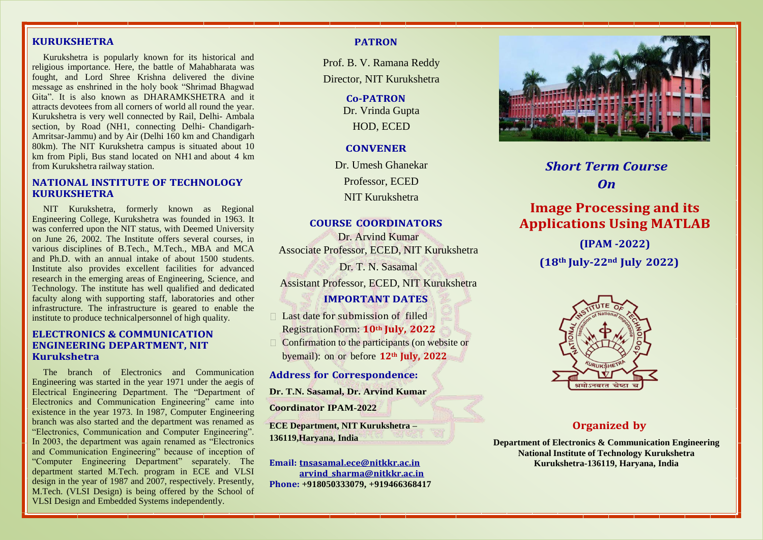## **KURUKSHETRA**

Kurukshetra is popularly known for its historical and religious importance. Here, the battle of Mahabharata was fought, and Lord Shree Krishna delivered the divine message as enshrined in the holy book "Shrimad Bhagwad Gita". It is also known as DHARAMKSHETRA and it attracts devotees from all corners of world all round the year. Kurukshetra is very well connected by Rail, Delhi- Ambala section, by Road (NH1, connecting Delhi- Chandigarh-Amritsar-Jammu) and by Air (Delhi 160 km and Chandigarh 80km). The NIT Kurukshetra campus is situated about 10 km from Pipli, Bus stand located on NH1 and about 4 km from Kurukshetra railway station.

#### **NATIONAL INSTITUTE OF TECHNOLOGY KURUKSHETRA**

NIT Kurukshetra, formerly known as Regional Engineering College, Kurukshetra was founded in 1963. It was conferred upon the NIT status, with Deemed University on June 26, 2002. The Institute offers several courses, in various disciplines of B.Tech., M.Tech., MBA and MCA and Ph.D. with an annual intake of about 1500 students. Institute also provides excellent facilities for advanced research in the emerging areas of Engineering, Science, and Technology. The institute has well qualified and dedicated faculty along with supporting staff, laboratories and other infrastructure. The infrastructure is geared to enable the institute to produce technicalpersonnel of high quality.

#### **ELECTRONICS & COMMUNICATION ENGINEERING DEPARTMENT, NIT Kurukshetra**

The branch of Electronics and Communication Engineering was started in the year 1971 under the aegis of Electrical Engineering Department. The "Department of Electronics and Communication Engineering" came into existence in the year 1973. In 1987, Computer Engineering branch was also started and the department was renamed as "Electronics, Communication and Computer Engineering". In 2003, the department was again renamed as "Electronics and Communication Engineering" because of inception of "Computer Engineering Department" separately. The department started M.Tech. program in ECE and VLSI design in the year of 1987 and 2007, respectively. Presently, M.Tech. (VLSI Design) is being offered by the School of VLSI Design and Embedded Systems independently.

#### **PATRON**

Prof. B. V. Ramana Reddy Director, NIT Kurukshetra

> **Co-PATRON** Dr. Vrinda Gupta HOD, ECED

#### **CONVENER**

Dr. Umesh Ghanekar Professor, ECED

NIT Kurukshetra

#### **COURSE COORDINATORS**

Associate Professor, ECED, NIT Kurukshetra Dr. T. N. Sasamal Assistant Professor, ECED, NIT Kurukshetra Dr. Arvind Kumar

## **IMPORTANT DATES**

 $\Box$  Last date for submission of filled RegistrationForm: **10th July, 2022**

 $\Box$  Confirmation to the participants (on website or byemail): on or before **12th July, 2022**

#### **Address for Correspondence:**

**Dr. T.N. Sasamal, Dr. Arvind Kumar**

**Coordinator IPAM-2022**

**ECE Department, NIT Kurukshetra – 136119,Haryana, India**

**Email: tnsasamal.ece@nitkkr.ac.in arvind\_sharma@nitkkr.ac.in Phone: +918050333079, +919466368417**



*Short Term Course On*

# **Image Processing and its Applications Using MATLAB**

**(IPAM -2022) (18th July-22nd July 2022)**



#### **Organized by**

**Department of Electronics & Communication Engineering National Institute of Technology Kurukshetra Kurukshetra-136119, Haryana, India**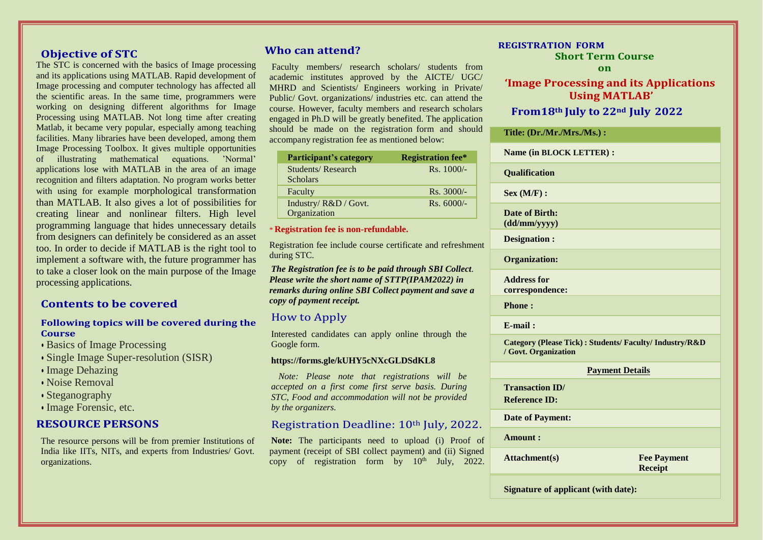## **Objective of STC**

The STC is concerned with the basics of Image processing and its applications using MATLAB. Rapid development of Image processing and computer technology has affected all the scientific areas. In the same time, programmers were working on designing different algorithms for Image Processing using MATLAB. Not long time after creating Matlab, it became very popular, especially among teaching facilities. Many libraries have been developed, among them Image Processing Toolbox. It gives multiple opportunities of illustrating mathematical equations. 'Normal' applications lose with MATLAB in the area of an image recognition and filters adaptation. No program works better with using for example morphological transformation than MATLAB. It also gives a lot of possibilities for creating linear and nonlinear filters. High level programming language that hides unnecessary details from designers can definitely be considered as an asset too. In order to decide if MATLAB is the right tool to implement a software with, the future programmer has to take a closer look on the main purpose of the Image processing applications.

## **Contents to be covered**

#### **Following topics will be covered during the Course**

- Basics of Image Processing
- Single Image Super-resolution (SISR)
- Image Dehazing
- Noise Removal
- Steganography
- Image Forensic, etc.

## **RESOURCE PERSONS**

The resource persons will be from premier Institutions of India like IITs, NITs, and experts from Industries/ Govt. organizations.

## **Who can attend?**

Faculty members/ research scholars/ students from academic institutes approved by the AICTE/ UGC/ MHRD and Scientists/ Engineers working in Private/ Public/ Govt. organizations/ industries etc. can attend the course. However, faculty members and research scholars engaged in Ph.D will be greatly benefited. The application should be made on the registration form and should accompany registration fee as mentioned below:

| Participant's category   | <b>Registration fee*</b> |
|--------------------------|--------------------------|
| <b>Students/Research</b> | $Rs. 1000/-$             |
| <b>Scholars</b>          |                          |
| Faculty                  | $Rs. 3000/-$             |
| Industry/R&D / Govt.     | $Rs. 6000/-$             |
| Organization             |                          |

## \* **Registration fee is non-refundable.**

Registration fee include course certificate and refreshment during STC.

*The Registration fee is to be paid through SBI Collect. Please write the short name of STTP(IPAM2022) in remarks during online SBI Collect payment and save a copy of payment receipt.*

## How to Apply

Interested candidates can apply online through the Google form.

#### **https://forms.gle/kUHY5cNXcGLDSdKL8**

 *Note: Please note that registrations will be accepted on a first come first serve basis. During STC, Food and accommodation will not be provided by the organizers.*

## Registration Deadline: 10<sup>th</sup> July, 2022.

**Note:** The participants need to upload (i) Proof of payment (receipt of SBI collect payment) and (ii) Signed copy of registration form by  $10<sup>th</sup>$  July, 2022.

## **REGISTRATION FORM**

**Short Term Course**

#### **on**

**'Image Processing and its Applications Using MATLAB' From18th July to 22nd July 2022**

# **Title: (Dr./Mr./Mrs./Ms.) :**

|   | <b>Name (in BLOCK LETTER):</b>                                                  |
|---|---------------------------------------------------------------------------------|
|   | Qualification                                                                   |
|   | Sex (M/F):                                                                      |
|   | Date of Birth:<br>(dd/mm/yyyy)                                                  |
| t | <b>Designation:</b>                                                             |
|   | <b>Organization:</b>                                                            |
|   | <b>Address for</b><br>correspondence:                                           |
|   | <b>Phone:</b>                                                                   |
|   | $E$ -mail:                                                                      |
|   | Category (Please Tick): Students/ Faculty/ Industry/R&D<br>/ Govt. Organization |
|   | <b>Payment Details</b>                                                          |
|   | <b>Transaction ID</b> /<br><b>Reference ID:</b>                                 |
| f | <b>Date of Payment:</b>                                                         |
|   | Amount:                                                                         |
| l | <b>Attachment(s)</b><br><b>Fee Payment</b><br><b>Receipt</b>                    |
|   |                                                                                 |

**Signature of applicant (with date):**